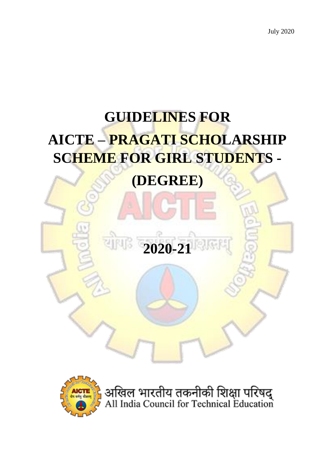# **GUIDELINES FOR AICTE – PRAGATI SCHOLARSHIP SCHEME FOR GIRL STUDENTS -**

# **(DEGREE)**





अखिल भारतीय तकनीकी शिक्षा परिषद्<br>All India Council for Technical Education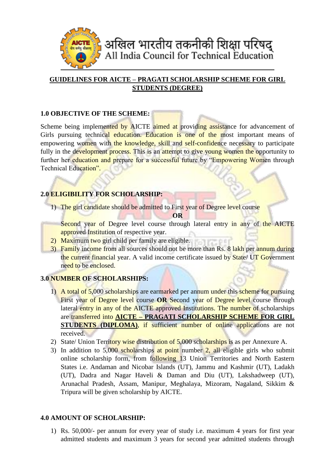

# **GUIDELINES FOR AICTE – PRAGATI SCHOLARSHIP SCHEME FOR GIRL STUDENTS (DEGREE)**

#### **1.0 OBJECTIVE OF THE SCHEME:**

Scheme being implemented by AICTE aimed at providing assistance for advancement of Girls pursuing technical education. Education is one of the most important means of empowering women with the knowledge, skill and self-confidence necessary to participate fully in the development process. This is an attempt to give young women the opportunity to further her education and prepare for a successful future by "Empowering Women through Technical Education".

## **2.0 ELIGIBILITY FOR SCHOLARSHIP:**

1) The girl candidate should be admitted to First year of Degree level course

- **OR**
- Second year of Degree level course through lateral entry in any of the AICTE approved Institution of respective year.
- 2) Maximum two girl child per family are eligible.
- 3) Family income from all sources should not be more than Rs. 8 lakh per annum during the current financial year. A valid income certificate issued by State/ UT Government need to be enclosed.

#### **3.0 NUMBER OF SCHOLARSHIPS:**

- 1) A total of 5,000 scholarships are earmarked per annum under this scheme for pursuing First year of Degree level course **OR** Second year of Degree level course through lateral entry in any of the AICTE approved Institutions. The number of scholarships are transferred into **AICTE – PRAGATI SCHOLARSHIP SCHEME FOR GIRL STUDENTS** (DIPLOMA), if sufficient number of online applications are not received.
- 2) State/ Union Territory wise distribution of 5,000 scholarships is as per Annexure A.
- 3) In addition to 5,000 scholarships at point number 2, all eligible girls who submit online scholarship form, from following 13 Union Territories and North Eastern States i.e. Andaman and Nicobar Islands (UT), Jammu and Kashmir (UT), Ladakh (UT), Dadra and Nagar Haveli & Daman and Diu (UT), Lakshadweep (UT), Arunachal Pradesh, Assam, Manipur, Meghalaya, Mizoram, Nagaland, Sikkim & Tripura will be given scholarship by AICTE.

#### **4.0 AMOUNT OF SCHOLARSHIP:**

1) Rs. 50,000/- per annum for every year of study i.e. maximum 4 years for first year admitted students and maximum 3 years for second year admitted students through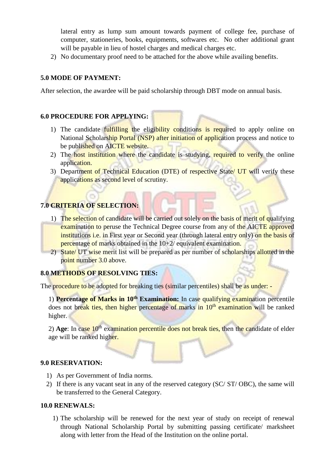lateral entry as lump sum amount towards payment of college fee, purchase of computer, stationeries, books, equipments, softwares etc. No other additional grant will be payable in lieu of hostel charges and medical charges etc.

2) No documentary proof need to be attached for the above while availing benefits.

#### **5.0 MODE OF PAYMENT:**

After selection, the awardee will be paid scholarship through DBT mode on annual basis.

#### **6.0 PROCEDURE FOR APPLYING:**

- 1) The candidate fulfilling the eligibility conditions is required to apply online on National Scholarship Portal (NSP) after initiation of application process and notice to be published on AICTE website.
- 2) The host institution where the candidate is studying, required to verify the online application.
- 3) Department of Technical Education (DTE) of respective State/ UT will verify these applications as second level of scrutiny.

## **7.0 CRITERIA OF SELECTION:**

- 1) The selection of candidate will be carried out solely on the basis of merit of qualifying examination to peruse the Technical Degree course from any of the AICTE approved institutions *i.e.* in First year or Second year (through lateral entry only) on the basis of percentage of marks obtained in the 10+2/ equivalent examination.
- 2) State/ UT wise merit list will be prepared as per number of scholarships allotted in the point number 3.0 above.

#### **8.0 METHODS OF RESOLVING TIES:**

The procedure to be adopted for breaking ties (similar percentiles) shall be as under: -

1) **Percentage of Marks in 10th Examination:** In case qualifying examination percentile does not break ties, then higher percentage of marks in  $10<sup>th</sup>$  examination will be ranked higher.

2) Age: In case 10<sup>th</sup> examination percentile does not break ties, then the candidate of elder age will be ranked higher.

#### **9.0 RESERVATION:**

- 1) As per Government of India norms.
- 2) If there is any vacant seat in any of the reserved category (SC/ ST/ OBC), the same will be transferred to the General Category.

#### **10.0 RENEWALS:**

1) The scholarship will be renewed for the next year of study on receipt of renewal through National Scholarship Portal by submitting passing certificate/ marksheet along with letter from the Head of the Institution on the online portal.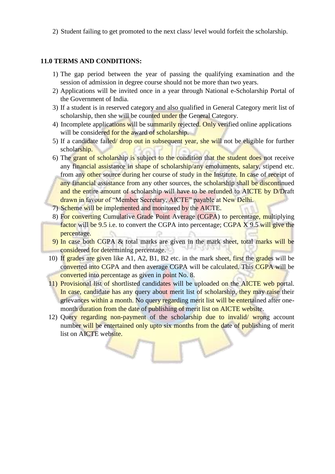2) Student failing to get promoted to the next class/ level would forfeit the scholarship.

#### **11.0 TERMS AND CONDITIONS:**

- 1) The gap period between the year of passing the qualifying examination and the session of admission in degree course should not be more than two years.
- 2) Applications will be invited once in a year through National e-Scholarship Portal of the Government of India.
- 3) If a student is in reserved category and also qualified in General Category merit list of scholarship, then she will be counted under the General Category.
- 4) Incomplete applications will be summarily rejected. Only verified online applications will be considered for the award of scholarship.
- 5) If a candidate failed/ drop out in subsequent year, she will not be eligible for further scholarship.
- 6) The grant of scholarship is subject to the condition that the student does not receive any financial assistance in shape of scholarship/any emoluments, salary, stipend etc. from any other source during her course of study in the Institute. In case of receipt of any financial assistance from any other sources, the scholarship shall be discontinued and the entire amount of scholarship will have to be refunded to AICTE by D/Draft drawn in favour of "Member Secretary, AICTE" payable at New Delhi.
- 7) Scheme will be implemented and monitored by the AICTE.
- 8) For converting Cumulative Grade Point Average (CGPA) to percentage, multiplying factor will be 9.5 i.e. to convert the CGPA into percentage; CGPA X 9.5 will give the percentage.
- 9) In case both CGPA & total marks are given in the mark sheet, total marks will be considered for determining percentage.
- 10) If grades are given like A1, A2, B1, B2 etc. in the mark sheet, first the grades will be converted into CGPA and then average CGPA will be calculated. This CGPA will be converted into percentage as given in point No. 8.
- 11) Provisional list of shortlisted candidates will be uploaded on the AICTE web portal. In case, candidate has any query about merit list of scholarship, they may raise their grievances within a month. No query regarding merit list will be entertained after onemonth duration from the date of publishing of merit list on AICTE website.
- 12) Query regarding non-payment of the scholarship due to invalid/ wrong account number will be entertained only upto six months from the date of publishing of merit list on AICTE website.